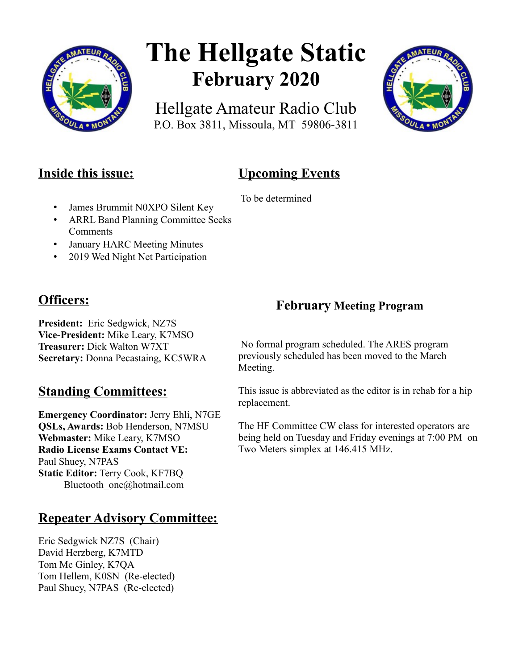

# **The Hellgate Static February 2020**

Hellgate Amateur Radio Club P.O. Box 3811, Missoula, MT 59806-3811



# **Inside this issue:**

# **Upcoming Events**

To be determined

- James Brummit N0XPO Silent Key
- ARRL Band Planning Committee Seeks Comments
- January HARC Meeting Minutes
- 2019 Wed Night Net Participation

# **Officers:**

**President:** Eric Sedgwick, NZ7S **Vice-President:** Mike Leary, K7MSO **Treasurer:** Dick Walton W7XT **Secretary:** Donna Pecastaing, KC5WRA

## **Standing Committees:**

**Emergency Coordinator:** Jerry Ehli, N7GE **QSLs, Awards:** Bob Henderson, N7MSU **Webmaster:** Mike Leary, K7MSO **Radio License Exams Contact VE:** Paul Shuey, N7PAS **Static Editor:** Terry Cook, KF7BQ Bluetooth\_one@hotmail.com

## **Repeater Advisory Committee:**

Eric Sedgwick NZ7S (Chair) David Herzberg, K7MTD Tom Mc Ginley, K7QA Tom Hellem, K0SN (Re-elected) Paul Shuey, N7PAS (Re-elected)

## **February Meeting Program**

 No formal program scheduled. The ARES program previously scheduled has been moved to the March Meeting.

This issue is abbreviated as the editor is in rehab for a hip replacement.

The HF Committee CW class for interested operators are being held on Tuesday and Friday evenings at 7:00 PM on Two Meters simplex at 146.415 MHz.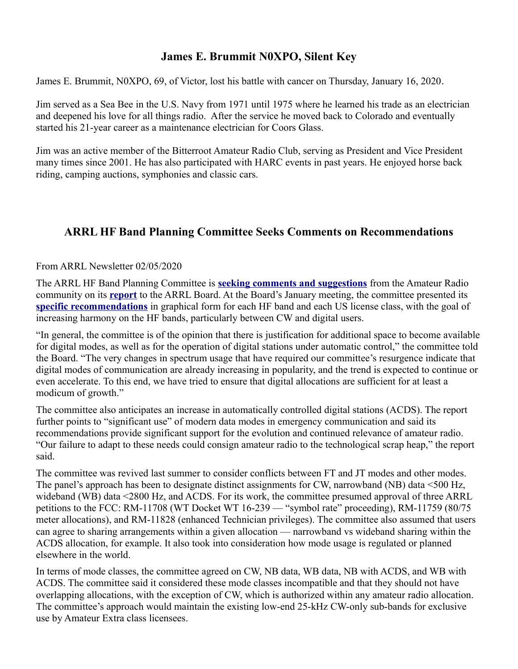## **James E. Brummit N0XPO, Silent Key**

James E. Brummit, N0XPO, 69, of Victor, lost his battle with cancer on Thursday, January 16, 2020.

Jim served as a Sea Bee in the U.S. Navy from 1971 until 1975 where he learned his trade as an electrician and deepened his love for all things radio. After the service he moved back to Colorado and eventually started his 21-year career as a maintenance electrician for Coors Glass.

Jim was an active member of the Bitterroot Amateur Radio Club, serving as President and Vice President many times since 2001. He has also participated with HARC events in past years. He enjoyed horse back riding, camping auctions, symphonies and classic cars.

## **ARRL HF Band Planning Committee Seeks Comments on Recommendations**

#### From ARRL Newsletter 02/05/2020

The ARRL HF Band Planning Committee is **[seeking comments and suggestions](http://www.arrl.org/bandplan)** from the Amateur Radio community on its **[report](http://www.arrl.org/files/file/Bandplanning/25%20HF%20Bandplanning%20Cmte%20FINAL%20(d).pdf)** to the ARRL Board. At the Board's January meeting, the committee presented its **[specific recommendations](http://www.arrl.org/files/file/Bandplanning/25%20Appendix%20BP_Committee_recs%20FINAL%20(h).pdf)** in graphical form for each HF band and each US license class, with the goal of increasing harmony on the HF bands, particularly between CW and digital users.

"In general, the committee is of the opinion that there is justification for additional space to become available for digital modes, as well as for the operation of digital stations under automatic control," the committee told the Board. "The very changes in spectrum usage that have required our committee's resurgence indicate that digital modes of communication are already increasing in popularity, and the trend is expected to continue or even accelerate. To this end, we have tried to ensure that digital allocations are sufficient for at least a modicum of growth."

The committee also anticipates an increase in automatically controlled digital stations (ACDS). The report further points to "significant use" of modern data modes in emergency communication and said its recommendations provide significant support for the evolution and continued relevance of amateur radio. "Our failure to adapt to these needs could consign amateur radio to the technological scrap heap," the report said.

The committee was revived last summer to consider conflicts between FT and JT modes and other modes. The panel's approach has been to designate distinct assignments for CW, narrowband (NB) data <500 Hz, wideband (WB) data <2800 Hz, and ACDS. For its work, the committee presumed approval of three ARRL petitions to the FCC: RM-11708 (WT Docket WT 16-239 — "symbol rate" proceeding), RM-11759 (80/75 meter allocations), and RM-11828 (enhanced Technician privileges). The committee also assumed that users can agree to sharing arrangements within a given allocation — narrowband vs wideband sharing within the ACDS allocation, for example. It also took into consideration how mode usage is regulated or planned elsewhere in the world.

In terms of mode classes, the committee agreed on CW, NB data, WB data, NB with ACDS, and WB with ACDS. The committee said it considered these mode classes incompatible and that they should not have overlapping allocations, with the exception of CW, which is authorized within any amateur radio allocation. The committee's approach would maintain the existing low-end 25-kHz CW-only sub-bands for exclusive use by Amateur Extra class licensees.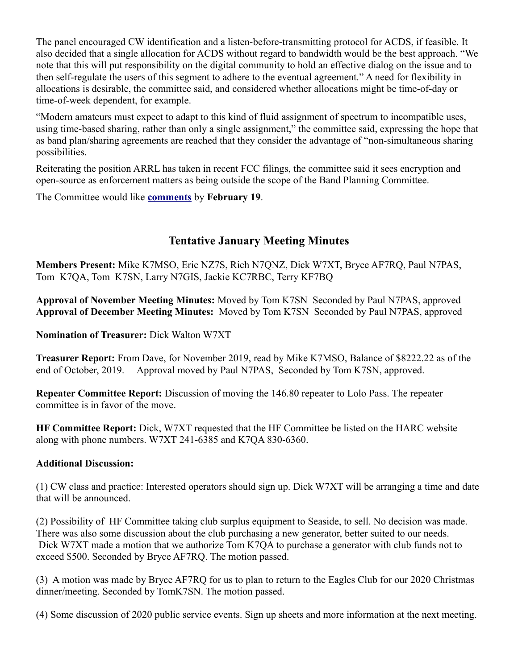The panel encouraged CW identification and a listen-before-transmitting protocol for ACDS, if feasible. It also decided that a single allocation for ACDS without regard to bandwidth would be the best approach. "We note that this will put responsibility on the digital community to hold an effective dialog on the issue and to then self-regulate the users of this segment to adhere to the eventual agreement." A need for flexibility in allocations is desirable, the committee said, and considered whether allocations might be time-of-day or time-of-week dependent, for example.

"Modern amateurs must expect to adapt to this kind of fluid assignment of spectrum to incompatible uses, using time-based sharing, rather than only a single assignment," the committee said, expressing the hope that as band plan/sharing agreements are reached that they consider the advantage of "non-simultaneous sharing possibilities.

Reiterating the position ARRL has taken in recent FCC filings, the committee said it sees encryption and open-source as enforcement matters as being outside the scope of the Band Planning Committee.

The Committee would like **[comments](http://www.arrl.org/bandplan)** by **February 19**.

## **Tentative January Meeting Minutes**

**Members Present:** Mike K7MSO, Eric NZ7S, Rich N7QNZ, Dick W7XT, Bryce AF7RQ, Paul N7PAS, Tom K7QA, Tom K7SN, Larry N7GIS, Jackie KC7RBC, Terry KF7BQ

**Approval of November Meeting Minutes:** Moved by Tom K7SN Seconded by Paul N7PAS, approved **Approval of December Meeting Minutes:** Moved by Tom K7SN Seconded by Paul N7PAS, approved

**Nomination of Treasurer:** Dick Walton W7XT

**Treasurer Report:** From Dave, for November 2019, read by Mike K7MSO, Balance of \$8222.22 as of the end of October, 2019. Approval moved by Paul N7PAS, Seconded by Tom K7SN, approved.

**Repeater Committee Report:** Discussion of moving the 146.80 repeater to Lolo Pass. The repeater committee is in favor of the move.

**HF Committee Report:** Dick, W7XT requested that the HF Committee be listed on the HARC website along with phone numbers. W7XT 241-6385 and K7QA 830-6360.

#### **Additional Discussion:**

(1) CW class and practice: Interested operators should sign up. Dick W7XT will be arranging a time and date that will be announced.

(2) Possibility of HF Committee taking club surplus equipment to Seaside, to sell. No decision was made. There was also some discussion about the club purchasing a new generator, better suited to our needs. Dick W7XT made a motion that we authorize Tom K7QA to purchase a generator with club funds not to exceed \$500. Seconded by Bryce AF7RQ. The motion passed.

(3) A motion was made by Bryce AF7RQ for us to plan to return to the Eagles Club for our 2020 Christmas dinner/meeting. Seconded by TomK7SN. The motion passed.

(4) Some discussion of 2020 public service events. Sign up sheets and more information at the next meeting.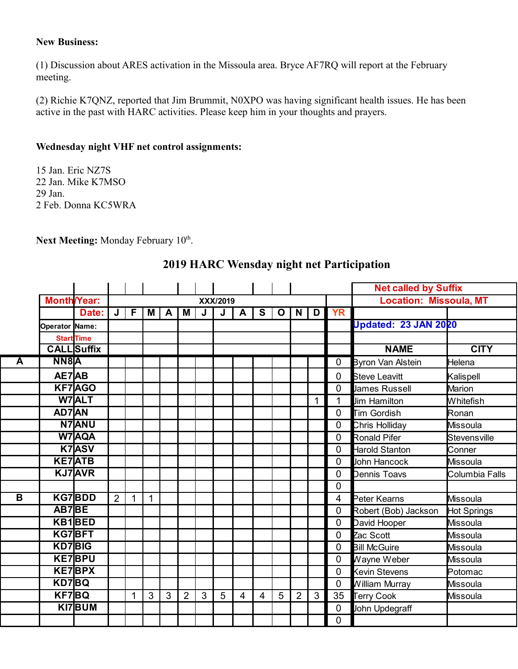#### **New Business:**

(1) Discussion about ARES activation in the Missoula area. Bryce AF7RQ will report at the February meeting.

(2) Richie K7QNZ, reported that Jim Brummit, N0XPO was having significant health issues. He has been active in the past with HARC activities. Please keep him in your thoughts and prayers.

#### **Wednesday night VHF net control assignments:**

15 Jan. Eric NZ7S 22 Jan. Mike K7MSO 29 Jan. 2 Feb. Donna KC5WRA

Next Meeting: Monday February 10<sup>th</sup>.

|                         |                    |                    |                |   |     |              |                |              |          |                |                |             |                |   |              | <b>Net called by Suffix</b>   |                  |
|-------------------------|--------------------|--------------------|----------------|---|-----|--------------|----------------|--------------|----------|----------------|----------------|-------------|----------------|---|--------------|-------------------------------|------------------|
|                         | <b>Month/Year:</b> |                    |                |   |     |              |                |              | XXX/2019 |                |                |             |                |   |              | <b>Location: Missoula, MT</b> |                  |
|                         |                    | Date:              | J              | F | M I | $\mathbf{A}$ | M              | J            | J        | $\mathbf{A}$   | $\mathbf{s}$   | $\mathbf 0$ | <b>N</b>       | D | <b>YR</b>    |                               |                  |
|                         | Operator Name:     |                    |                |   |     |              |                |              |          |                |                |             |                |   |              | <b>Updated: 23 JAN 2020</b>   |                  |
|                         |                    | <b>Start Time</b>  |                |   |     |              |                |              |          |                |                |             |                |   |              |                               |                  |
|                         |                    | <b>CALL</b> Suffix |                |   |     |              |                |              |          |                |                |             |                |   |              | <b>NAME</b>                   | <b>CITY</b>      |
| A                       | NN8A               |                    |                |   |     |              |                |              |          |                |                |             |                |   | $\mathbf 0$  | <b>Byron Van Alstein</b>      | Helena           |
|                         | AE7AB              |                    |                |   |     |              |                |              |          |                |                |             |                |   | $\Omega$     | <b>Steve Leavitt</b>          | Kalispell        |
|                         |                    | <b>KF7AGO</b>      |                |   |     |              |                |              |          |                |                |             |                |   | $\Omega$     | <b>James Russell</b>          | Marion           |
|                         |                    | W7ALT              |                |   |     |              |                |              |          |                |                |             |                | 1 | 1            | <b>Jim Hamilton</b>           | Whitefish        |
|                         | AD7AN              |                    |                |   |     |              |                |              |          |                |                |             |                |   | $\Omega$     | Tim Gordish                   | Ronan            |
|                         |                    | <b>N7ANU</b>       |                |   |     |              |                |              |          |                |                |             |                |   | $\mathbf 0$  | Chris Holliday                | Missoula         |
|                         |                    | <b>W7AQA</b>       |                |   |     |              |                |              |          |                |                |             |                |   | 0            | Ronald Pifer                  | Stevensville     |
|                         |                    | K7ASV              |                |   |     |              |                |              |          |                |                |             |                |   | $\Omega$     | Harold Stanton                | Conner           |
|                         |                    | <b>KE7ATB</b>      |                |   |     |              |                |              |          |                |                |             |                |   | $\Omega$     | John Hancock                  | Missoula         |
|                         |                    | <b>KJ7</b> AVR     |                |   |     |              |                |              |          |                |                |             |                |   | $\Omega$     | Dennis Toavs                  | Columbia Falls   |
|                         |                    |                    |                |   |     |              |                |              |          |                |                |             |                |   | $\mathbf{0}$ |                               |                  |
| $\overline{\mathbf{B}}$ |                    | <b>KG7BDD</b>      | $\overline{2}$ | 1 | 1   |              |                |              |          |                |                |             |                |   | 4            | Peter Kearns                  | <b>M</b> issoula |
|                         | AB7BE              |                    |                |   |     |              |                |              |          |                |                |             |                |   | $\mathbf 0$  | Robert (Bob) Jackson          | Hot Springs      |
|                         |                    | KB1BED             |                |   |     |              |                |              |          |                |                |             |                |   | $\mathbf 0$  | David Hooper                  | Missoula         |
|                         |                    | KG7BFT             |                |   |     |              |                |              |          |                |                |             |                |   | $\Omega$     | Zac Scott                     | <b>M</b> issoula |
|                         | <b>KD7BIG</b>      |                    |                |   |     |              |                |              |          |                |                |             |                |   | $\Omega$     | <b>Bill McGuire</b>           | Missoula         |
|                         |                    | <b>KE7BPU</b>      |                |   |     |              |                |              |          |                |                |             |                |   | $\Omega$     | Wayne Weber                   | Missoula         |
|                         |                    | <b>KE7BPX</b>      |                |   |     |              |                |              |          |                |                |             |                |   | $\Omega$     | <b>Kevin Stevens</b>          | Potomac          |
|                         | KD7BQ              |                    |                |   |     |              |                |              |          |                |                |             |                |   | $\mathbf 0$  | William Murray                | Missoula         |
|                         | KF7BQ              |                    |                | 1 | 3   | 3            | $\overline{2}$ | $\mathbf{3}$ | 5        | $\overline{4}$ | $\overline{4}$ | 5           | $\overline{2}$ | 3 | 35           | <b>Terry Cook</b>             | Missoula         |
|                         |                    | KI7BUM             |                |   |     |              |                |              |          |                |                |             |                |   | $\mathbf 0$  | John Updegraff                |                  |
|                         |                    |                    |                |   |     |              |                |              |          |                |                |             |                |   | 0            |                               |                  |

### **2019 HARC Wensday night net Participation**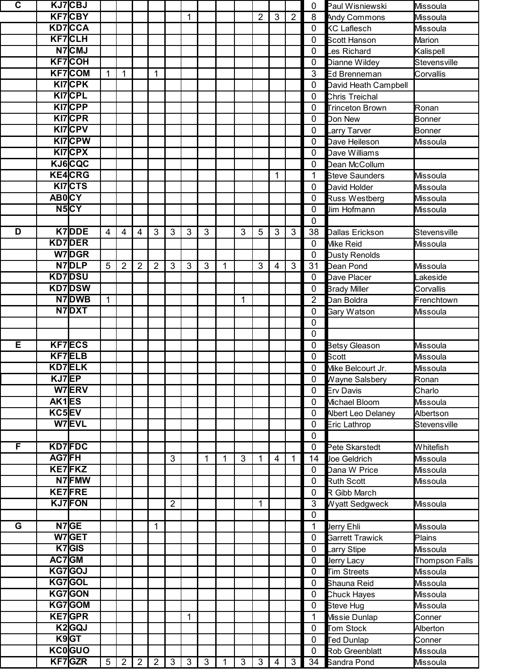| C |              | KJ7CBJ             |                 |                |                |                |                |              |                |   |              |                |   |                | 0              | Paul Wisniewski        | Missoula        |
|---|--------------|--------------------|-----------------|----------------|----------------|----------------|----------------|--------------|----------------|---|--------------|----------------|---|----------------|----------------|------------------------|-----------------|
|   |              | <b>KF7CBY</b>      |                 |                |                |                |                | 1            |                |   |              | $\overline{2}$ | 3 | $\overline{2}$ | 8              | <b>Andy Commons</b>    | Missoula        |
|   |              | <b>KD7CCA</b>      |                 |                |                |                |                |              |                |   |              |                |   |                | $\mathbf 0$    | <b>KC Laflesch</b>     | <b>Missoula</b> |
|   |              | <b>KF7CLH</b>      |                 |                |                |                |                |              |                |   |              |                |   |                | $\mathbf 0$    | <b>Scott Hanson</b>    | Marion          |
|   |              | N7CMJ              |                 |                |                |                |                |              |                |   |              |                |   |                | $\mathbf 0$    | Les Richard            | Kalispell       |
|   |              | <b>KF7COH</b>      |                 |                |                |                |                |              |                |   |              |                |   |                | $\mathbf 0$    | Dianne Wildey          | Stevensville    |
|   |              | <b>KF7COM</b>      | 1               | 1              |                | 1              |                |              |                |   |              |                |   |                | 3              | Ed Brenneman           | Corvallis       |
|   |              | KI7CPK             |                 |                |                |                |                |              |                |   |              |                |   |                | 0              | David Heath Campbell   |                 |
|   |              | <b>KI7CPL</b>      |                 |                |                |                |                |              |                |   |              |                |   |                | $\mathbf 0$    | Chris Treichal         |                 |
|   |              | <b>KI7CPP</b>      |                 |                |                |                |                |              |                |   |              |                |   |                | $\mathbf 0$    | <b>Trinceton Brown</b> | Ronan           |
|   |              | KI7CPR             |                 |                |                |                |                |              |                |   |              |                |   |                | $\mathbf 0$    | Don New                | Bonner          |
|   |              | KI7CPV             |                 |                |                |                |                |              |                |   |              |                |   |                | $\mathbf 0$    | Larry Tarver           | <b>Bonner</b>   |
|   |              | <b>KI7CPW</b>      |                 |                |                |                |                |              |                |   |              |                |   |                | $\mathbf 0$    | Dave Heileson          |                 |
|   |              | <b>KI7CPX</b>      |                 |                |                |                |                |              |                |   |              |                |   |                |                |                        | Missoula        |
|   |              |                    |                 |                |                |                |                |              |                |   |              |                |   |                | $\mathbf 0$    | Dave Williams          |                 |
|   |              | KJ6CQC             |                 |                |                |                |                |              |                |   |              |                |   |                | $\mathbf 0$    | Dean McCollum          |                 |
|   |              | <b>KE4CRG</b>      |                 |                |                |                |                |              |                |   |              |                | 1 |                | 1              | <b>Steve Saunders</b>  | Missoula        |
|   |              | <b>KI7CTS</b>      |                 |                |                |                |                |              |                |   |              |                |   |                | 0              | David Holder           | Missoula        |
|   | <b>ABOCY</b> |                    |                 |                |                |                |                |              |                |   |              |                |   |                | $\mathbf 0$    | <b>Russ Westberg</b>   | Missoula        |
|   |              | N <sub>5</sub> CY  |                 |                |                |                |                |              |                |   |              |                |   |                | $\mathbf 0$    | Jim Hofmann            | Missoula        |
|   |              |                    |                 |                |                |                |                |              |                |   |              |                |   |                | $\overline{0}$ |                        |                 |
| D |              | K7DDE              | $\overline{4}$  | $\overline{4}$ | 4              | $\mathbf{3}$   | 3              | 3            | 3              |   | 3            | 5              | 3 | $\mathbf{3}$   | 38             | Dallas Erickson        | Stevensville    |
|   |              | <b>KD7DER</b>      |                 |                |                |                |                |              |                |   |              |                |   |                | $\mathbf 0$    | Mike Reid              | Missoula        |
|   |              | W7DGR              |                 |                |                |                |                |              |                |   |              |                |   |                | $\mathbf 0$    | Dusty Renolds          |                 |
|   |              | N7DLP              | $5\phantom{.0}$ | $\overline{2}$ | $\overline{2}$ | $\overline{2}$ | 3              | $\mathbf{3}$ | $\mathbf{3}$   | 1 |              | 3              | 4 | 3              | 31             | Dean Pond              | <b>Missoula</b> |
|   |              | <b>KD7DSU</b>      |                 |                |                |                |                |              |                |   |              |                |   |                | $\mathbf 0$    | Dave Placer            | _akeside        |
|   |              | <b>KD7DSW</b>      |                 |                |                |                |                |              |                |   |              |                |   |                | $\mathbf 0$    | <b>Brady Miller</b>    | Corvallis       |
|   |              | N7DWB              | $\mathbf{1}$    |                |                |                |                |              |                |   | 1            |                |   |                | $\overline{2}$ | Dan Boldra             | Frenchtown      |
|   |              | N7DXT              |                 |                |                |                |                |              |                |   |              |                |   |                | $\mathbf 0$    | Gary Watson            | Missoula        |
|   |              |                    |                 |                |                |                |                |              |                |   |              |                |   |                | $\mathbf 0$    |                        |                 |
|   |              |                    |                 |                |                |                |                |              |                |   |              |                |   |                | $\mathbf 0$    |                        |                 |
| Ε |              | <b>KF7ECS</b>      |                 |                |                |                |                |              |                |   |              |                |   |                | $\mathbf 0$    | Betsy Gleason          | Missoula        |
|   |              | <b>KF7ELB</b>      |                 |                |                |                |                |              |                |   |              |                |   |                | $\mathbf 0$    | Scott                  | Missoula        |
|   |              | <b>KD7ELK</b>      |                 |                |                |                |                |              |                |   |              |                |   |                | 0              | Mike Belcourt Jr.      | Missoula        |
|   | KJ7EP        |                    |                 |                |                |                |                |              |                |   |              |                |   |                | 0              | Wayne Salsbery         | Ronan           |
|   |              | W7ERV              |                 |                |                |                |                |              |                |   |              |                |   |                | 0              | Erv Davis              | Charlo          |
|   | AK1ES        |                    |                 |                |                |                |                |              |                |   |              |                |   |                | 0              | Michael Bloom          | Missoula        |
|   | KC5EV        |                    |                 |                |                |                |                |              |                |   |              |                |   |                | $\mathbf 0$    |                        |                 |
|   |              | W7EVL              |                 |                |                |                |                |              |                |   |              |                |   |                |                | Albert Leo Delaney     | Albertson       |
|   |              |                    |                 |                |                |                |                |              |                |   |              |                |   |                | 0              | Eric Lathrop           | Stevensville    |
|   |              |                    |                 |                |                |                |                |              |                |   |              |                |   |                | $\mathbf 0$    |                        |                 |
| F |              | <b>KD7FDC</b>      |                 |                |                |                |                |              |                |   |              |                |   |                | 0              | Pete Skarstedt         | Whitefish       |
|   | AG7FH        |                    |                 |                |                |                | 3              |              | 1              | 1 | 3            | 1              | 4 | 1              | 14             | Joe Geldrich           | Missoula        |
|   |              | <b>KE7FKZ</b>      |                 |                |                |                |                |              |                |   |              |                |   |                | $\mathbf 0$    | Dana W Price           | <b>Missoula</b> |
|   |              | N7FMW              |                 |                |                |                |                |              |                |   |              |                |   |                | 0              | <b>Ruth Scott</b>      | Missoula        |
|   |              | <b>KE7FRE</b>      |                 |                |                |                |                |              |                |   |              |                |   |                | $\mathbf 0$    | R Gibb March           |                 |
|   |              | <b>KJ7FON</b>      |                 |                |                |                | $\overline{2}$ |              |                |   |              | 1              |   |                | 3              | Wyatt Sedgweck         | <b>Missoula</b> |
|   |              |                    |                 |                |                |                |                |              |                |   |              |                |   |                | $\mathbf 0$    |                        |                 |
| G |              | $N7$ GE            |                 |                |                | 1              |                |              |                |   |              |                |   |                | 1              | Jerry Ehli             | <b>Missoula</b> |
|   |              | W7GET              |                 |                |                |                |                |              |                |   |              |                |   |                | $\mathbf 0$    | <b>Garrett Trawick</b> | Plains          |
|   |              | K7GIS              |                 |                |                |                |                |              |                |   |              |                |   |                | $\mathbf 0$    | arry Stipe             | Missoula        |
|   | AC7GM        |                    |                 |                |                |                |                |              |                |   |              |                |   |                | 0              | Jerry Lacy             | Thompson Falls  |
|   |              | KG7GOJ             |                 |                |                |                |                |              |                |   |              |                |   |                | 0              | <b>Tim Streets</b>     | Missoula        |
|   |              | KG7GOL             |                 |                |                |                |                |              |                |   |              |                |   |                | $\mathbf 0$    | Shauna Reid            | Missoula        |
|   |              | KG7GON             |                 |                |                |                |                |              |                |   |              |                |   |                | $\mathbf 0$    | Chuck Hayes            | Missoula        |
|   |              | KG7GOM             |                 |                |                |                |                |              |                |   |              |                |   |                | $\mathbf 0$    | Steve Hug              | Missoula        |
|   |              | <b>KE7GPR</b>      |                 |                |                |                |                | 1            |                |   |              |                |   |                | 1              | Missie Dunlap          | Conner          |
|   |              | K <sub>2</sub> GQJ |                 |                |                |                |                |              |                |   |              |                |   |                | $\mathbf 0$    | Tom Stock              | Alberton        |
|   |              | $K9G$ T            |                 |                |                |                |                |              |                |   |              |                |   |                | $\mathbf 0$    | Ted Dunlap             | Conner          |
|   |              | <b>KC0GUO</b>      |                 |                |                |                |                |              |                |   |              |                |   |                | $\mathbf 0$    | <b>Rob Greenblatt</b>  | Missoula        |
|   |              | KF7GZR             | 5 <sup>5</sup>  | 2 <sup>1</sup> | 2 <sup>7</sup> | $2^{\circ}$    | 3              | $\mathbf{3}$ | $\mathfrak{S}$ | 1 | $\mathbf{3}$ | $\mathbf{3}$   | 4 | 3 <sup>1</sup> | 34             | <b>Sandra Pond</b>     | Missoula        |
|   |              |                    |                 |                |                |                |                |              |                |   |              |                |   |                |                |                        |                 |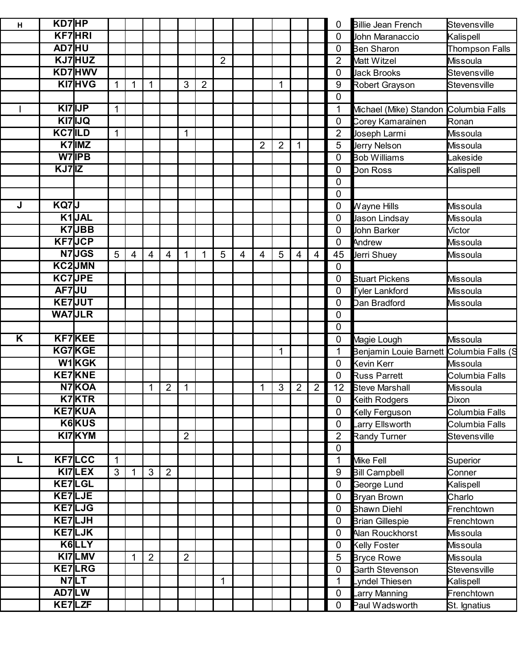| н |       | KD7HP         |              |                |                |                |                |                |                |                |   |                |                |                | 0              | <b>Billie Jean French</b> | Stevensville          |
|---|-------|---------------|--------------|----------------|----------------|----------------|----------------|----------------|----------------|----------------|---|----------------|----------------|----------------|----------------|---------------------------|-----------------------|
|   |       | <b>KF7HRI</b> |              |                |                |                |                |                |                |                |   |                |                |                | 0              | John Maranaccio           | Kalispell             |
|   |       | AD7HU         |              |                |                |                |                |                |                |                |   |                |                |                | 0              | <b>Ben Sharon</b>         | <b>Thompson Falls</b> |
|   |       | KJ7HUZ        |              |                |                |                |                |                | $\overline{2}$ |                |   |                |                |                | 2              | Matt Witzel               | Missoula              |
|   |       | KD7 HWV       |              |                |                |                |                |                |                |                |   |                |                |                | $\mathbf 0$    | <b>Jack Brooks</b>        | Stevensville          |
|   |       | KI7HVG        |              |                | 1              |                | 3              | $\overline{2}$ |                |                |   | $\mathbf{1}$   |                |                | 9              | Robert Grayson            | Stevensville          |
|   |       |               |              |                |                |                |                |                |                |                |   |                |                |                | $\overline{0}$ |                           |                       |
|   |       | KI7 IJP       | $\mathbf 1$  |                |                |                |                |                |                |                |   |                |                |                | 1              | Michael (Mike) Standon    | Columbia Falls        |
|   |       | KI7IJQ        |              |                |                |                |                |                |                |                |   |                |                |                | $\mathbf 0$    | Corey Kamarainen          | Ronan                 |
|   |       | <b>KC7ILD</b> | $\mathbf{1}$ |                |                |                | $\mathbf{1}$   |                |                |                |   |                |                |                | $\overline{2}$ | Joseph Larmi              | Missoula              |
|   |       | $K7$ IMZ      |              |                |                |                |                |                |                |                | 2 | $\overline{2}$ |                |                | 5              | Jerry Nelson              | Missoula              |
|   |       | W7 IPB        |              |                |                |                |                |                |                |                |   |                |                |                | $\mathbf 0$    | <b>Bob Williams</b>       | Lakeside              |
|   | KJ7IZ |               |              |                |                |                |                |                |                |                |   |                |                |                | 0              | Don Ross                  | Kalispell             |
|   |       |               |              |                |                |                |                |                |                |                |   |                |                |                | 0              |                           |                       |
|   |       |               |              |                |                |                |                |                |                |                |   |                |                |                | $\mathbf 0$    |                           |                       |
| J | KQ7J  |               |              |                |                |                |                |                |                |                |   |                |                |                | 0              | Wayne Hills               | Missoula              |
|   |       | K1JAL         |              |                |                |                |                |                |                |                |   |                |                |                | $\mathbf 0$    | Jason Lindsay             | Missoula              |
|   |       | K7JBB         |              |                |                |                |                |                |                |                |   |                |                |                | $\mathbf 0$    | John Barker               | <b>Victor</b>         |
|   |       | <b>KF7JCP</b> |              |                |                |                |                |                |                |                |   |                |                |                | $\mathbf 0$    | Andrew                    | Missoula              |
|   |       | N7JGS         | 5            | $\overline{4}$ | 4              | $\overline{4}$ | 1              | 1              | 5              | $\overline{4}$ | 4 | 5              | 4              | 4              | 45             | Jerri Shuey               | Missoula              |
|   |       | KC2JMN        |              |                |                |                |                |                |                |                |   |                |                |                | $\mathbf 0$    |                           |                       |
|   |       | <b>KC7JPE</b> |              |                |                |                |                |                |                |                |   |                |                |                | 0              | <b>Stuart Pickens</b>     | Missoula              |
|   |       | AF7JU         |              |                |                |                |                |                |                |                |   |                |                |                | $\mathbf 0$    | <b>Tyler Lankford</b>     | <b>Missoula</b>       |
|   |       | <b>KE7JUT</b> |              |                |                |                |                |                |                |                |   |                |                |                | 0              | Dan Bradford              | Missoula              |
|   |       | <b>WA7JLR</b> |              |                |                |                |                |                |                |                |   |                |                |                | $\mathbf 0$    |                           |                       |
|   |       |               |              |                |                |                |                |                |                |                |   |                |                |                | $\mathbf 0$    |                           |                       |
| Κ |       | <b>KF7KEE</b> |              |                |                |                |                |                |                |                |   |                |                |                | $\mathbf 0$    | Magie Lough               | Missoula              |
|   |       | KG7KGE        |              |                |                |                |                |                |                |                |   | $\mathbf{1}$   |                |                | 1              | Benjamin Louie Barnett    | Columbia Falls (S     |
|   |       | W1KGK         |              |                |                |                |                |                |                |                |   |                |                |                | $\mathbf 0$    | Kevin Kerr                | Missoula              |
|   |       | <b>KE7KNE</b> |              |                |                |                |                |                |                |                |   |                |                |                | $\mathbf{0}$   | <b>Russ Parrett</b>       | Columbia Falls        |
|   |       | N7KOA         |              |                | 1              | $\overline{2}$ | $\mathbf{1}$   |                |                |                |   | 3              | $\overline{2}$ | $\overline{2}$ | 12             | <b>Steve Marshall</b>     | <b>Missoula</b>       |
|   |       | K7KTR         |              |                |                |                |                |                |                |                |   |                |                |                | 0              | Keith Rodgers             | Dixon                 |
|   |       | <b>KE7KUA</b> |              |                |                |                |                |                |                |                |   |                |                |                | $\mathbf 0$    | Kelly Ferguson            | Columbia Falls        |
|   |       | K6KUS         |              |                |                |                |                |                |                |                |   |                |                |                | $\mathbf 0$    | arry Ellsworth            | Columbia Falls        |
|   |       | KI7KYM        |              |                |                |                | $\overline{2}$ |                |                |                |   |                |                |                | $\overline{2}$ | Randy Turner              | Stevensville          |
|   |       |               |              |                |                |                |                |                |                |                |   |                |                |                | $\mathbf 0$    |                           |                       |
| L |       | <b>KF7LCC</b> | $\mathbf 1$  |                |                |                |                |                |                |                |   |                |                |                | 1              | Mike Fell                 | Superior              |
|   |       | KI7LEX        | 3            |                | 3              | $\overline{2}$ |                |                |                |                |   |                |                |                | 9              | <b>Bill Campbell</b>      | Conner                |
|   |       | <b>KE7LGL</b> |              |                |                |                |                |                |                |                |   |                |                |                | $\mathbf 0$    | George Lund               | Kalispell             |
|   |       | <b>KE7LJE</b> |              |                |                |                |                |                |                |                |   |                |                |                | $\mathbf 0$    | Bryan Brown               | Charlo                |
|   |       | <b>KE7LJG</b> |              |                |                |                |                |                |                |                |   |                |                |                | $\mathbf 0$    | <b>Shawn Diehl</b>        | Frenchtown            |
|   |       | KE7LJH        |              |                |                |                |                |                |                |                |   |                |                |                | 0              | <b>Brian Gillespie</b>    | Frenchtown            |
|   |       | KE7LJK        |              |                |                |                |                |                |                |                |   |                |                |                | $\mathbf 0$    | Alan Rouckhorst           | Missoula              |
|   |       | K6LLY         |              |                |                |                |                |                |                |                |   |                |                |                | 0              | Kelly Foster              | <b>Missoula</b>       |
|   |       | KI7LMV        |              | 1              | $\overline{2}$ |                | $\overline{2}$ |                |                |                |   |                |                |                | 5              | <b>Bryce Rowe</b>         | Missoula              |
|   |       | <b>KE7LRG</b> |              |                |                |                |                |                |                |                |   |                |                |                | $\mathbf 0$    | Garth Stevenson           | Stevensville          |
|   |       | N7LT          |              |                |                |                |                |                | 1              |                |   |                |                |                | 1              | vndel Thiesen             | Kalispell             |
|   |       | AD7LW         |              |                |                |                |                |                |                |                |   |                |                |                | $\mathbf 0$    | arry Manning              | Frenchtown            |
|   |       | KE7LZF        |              |                |                |                |                |                |                |                |   |                |                |                | $\mathbf 0$    | Paul Wadsworth            | St. Ignatius          |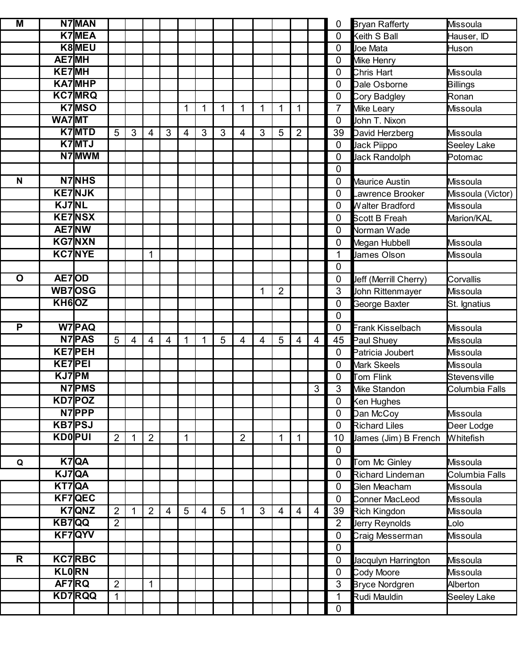| M            |                    | N7MAN         |                |                |                |                |                |                |              |                |                |                |                |   | 0                | <b>Bryan Rafferty</b> | <b>Missoula</b>   |
|--------------|--------------------|---------------|----------------|----------------|----------------|----------------|----------------|----------------|--------------|----------------|----------------|----------------|----------------|---|------------------|-----------------------|-------------------|
|              |                    | <b>K7MEA</b>  |                |                |                |                |                |                |              |                |                |                |                |   | $\mathbf 0$      | Keith S Ball          | Hauser, ID        |
|              |                    | K8MEU         |                |                |                |                |                |                |              |                |                |                |                |   | $\mathbf 0$      | Uoe Mata              | Huson             |
|              | <b>AE7MH</b>       |               |                |                |                |                |                |                |              |                |                |                |                |   | 0                | Mike Henry            |                   |
|              | <b>KE7MH</b>       |               |                |                |                |                |                |                |              |                |                |                |                |   | 0                | Chris Hart            | <b>Missoula</b>   |
|              |                    | <b>KA7MHP</b> |                |                |                |                |                |                |              |                |                |                |                |   | 0                | Dale Osborne          | Billings          |
|              |                    | <b>KC7MRQ</b> |                |                |                |                |                |                |              |                |                |                |                |   | 0                | Cory Badgley          | Ronan             |
|              |                    | <b>K7MSO</b>  |                |                |                |                | 1              | 1              | $\mathbf{1}$ | 1              | $\mathbf 1$    | $\mathbf 1$    | $\mathbf 1$    |   | $\overline{7}$   | Mike Leary            | <b>Missoula</b>   |
|              | WA7MT              |               |                |                |                |                |                |                |              |                |                |                |                |   | 0                | John T. Nixon         |                   |
|              |                    | <b>K7MTD</b>  | 5              | 3              | 4              | 3              | $\overline{4}$ | 3              | 3            | 4              | 3              | 5              | $\overline{2}$ |   | 39               | David Herzberg        | Missoula          |
|              |                    | K7MTJ         |                |                |                |                |                |                |              |                |                |                |                |   | $\mathbf 0$      | Jack Piippo           | Seeley Lake       |
|              |                    | N7MWM         |                |                |                |                |                |                |              |                |                |                |                |   | $\mathbf 0$      | Jack Randolph         | Potomac           |
|              |                    |               |                |                |                |                |                |                |              |                |                |                |                |   | $\mathbf 0$      |                       |                   |
| N            |                    | N7NHS         |                |                |                |                |                |                |              |                |                |                |                |   | 0                | <b>Maurice Austin</b> | <b>Missoula</b>   |
|              |                    | <b>KE7NJK</b> |                |                |                |                |                |                |              |                |                |                |                |   | $\mathbf 0$      | Lawrence Brooker      | Missoula (Victor) |
|              | <b>KJ7NL</b>       |               |                |                |                |                |                |                |              |                |                |                |                |   | $\mathbf 0$      | Walter Bradford       | Missoula          |
|              |                    | <b>KE7NSX</b> |                |                |                |                |                |                |              |                |                |                |                |   | $\mathbf 0$      | <b>Scott B Freah</b>  | Marion/KAL        |
|              | AE7NW              |               |                |                |                |                |                |                |              |                |                |                |                |   | $\mathbf 0$      | Norman Wade           |                   |
|              |                    | <b>KG7NXN</b> |                |                |                |                |                |                |              |                |                |                |                |   | $\mathbf 0$      | Megan Hubbell         | Missoula          |
|              |                    | <b>KC7NYE</b> |                |                | 1              |                |                |                |              |                |                |                |                |   | 1                | James Olson           | <b>Missoula</b>   |
|              |                    |               |                |                |                |                |                |                |              |                |                |                |                |   | $\overline{0}$   |                       |                   |
| $\mathbf O$  | AE7OD              |               |                |                |                |                |                |                |              |                |                |                |                |   | 0                | Jeff (Merrill Cherry) | Corvallis         |
|              |                    | WB7OSG        |                |                |                |                |                |                |              |                | 1              | $\overline{2}$ |                |   | 3                | John Rittenmayer      | Missoula          |
|              | KH <sub>6</sub> OZ |               |                |                |                |                |                |                |              |                |                |                |                |   | $\mathbf 0$      | George Baxter         | St. Ignatius      |
|              |                    |               |                |                |                |                |                |                |              |                |                |                |                |   | $\overline{0}$   |                       |                   |
| P            |                    | <b>W7PAQ</b>  |                |                |                |                |                |                |              |                |                |                |                |   | $\mathbf 0$      | Frank Kisselbach      | Missoula          |
|              |                    | <b>N7PAS</b>  | 5              | $\overline{4}$ | 4              | $\overline{4}$ | 1              | $\mathbf{1}$   | 5            | 4              | $\overline{4}$ | 5              | $\overline{4}$ | 4 | 45               | Paul Shuey            | Missoula          |
|              |                    | <b>KE7PEH</b> |                |                |                |                |                |                |              |                |                |                |                |   | $\mathbf 0$      | Patricia Joubert      | <b>Missoula</b>   |
|              | <b>KE7PEI</b>      |               |                |                |                |                |                |                |              |                |                |                |                |   | 0                | Mark Skeels           | <b>Missoula</b>   |
|              | KJ7PM              |               |                |                |                |                |                |                |              |                |                |                |                |   | $\mathbf 0$      | Tom Flink             | Stevensville      |
|              |                    | <b>N7PMS</b>  |                |                |                |                |                |                |              |                |                |                |                | 3 | 3                | Vlike Standon         | Columbia Falls    |
|              |                    | KD7POZ        |                |                |                |                |                |                |              |                |                |                |                |   | 0                | Ken Hughes            |                   |
|              |                    | N7PPP         |                |                |                |                |                |                |              |                |                |                |                |   | $\mathbf 0$      | Dan McCoy             | Missoula          |
|              |                    | <b>KB7PSJ</b> |                |                |                |                |                |                |              |                |                |                |                |   | $\mathbf 0$      | <b>Richard Liles</b>  | Deer Lodge        |
|              | <b>KD0PUI</b>      |               | $\overline{2}$ | $\mathbf 1$    | $\overline{2}$ |                | 1              |                |              | $\overline{2}$ |                | 1              | $\mathbf{1}$   |   | 10               | James (Jim) B French  | <b>Whitefish</b>  |
|              |                    |               |                |                |                |                |                |                |              |                |                |                |                |   | $\mathbf 0$      |                       |                   |
| Q            |                    | $K7$ QA       |                |                |                |                |                |                |              |                |                |                |                |   | $\mathbf 0$      | Tom Mc Ginley         | <b>Missoula</b>   |
|              |                    | KJ7QA         |                |                |                |                |                |                |              |                |                |                |                |   | $\mathbf 0$      | Richard Lindeman      | Columbia Falls    |
|              |                    |               |                |                |                |                |                |                |              |                |                |                |                |   |                  |                       |                   |
|              | KT7QA              |               |                |                |                |                |                |                |              |                |                |                |                |   | 0                | <b>Glen Meacham</b>   | <b>Missoula</b>   |
|              |                    | <b>KF7QEC</b> |                |                |                |                |                |                |              |                |                |                |                |   | $\mathbf 0$      | Conner MacLeod        | <b>Missoula</b>   |
|              |                    | K7QNZ         | $\overline{2}$ | $\mathbf 1$    | $\overline{2}$ | $\overline{4}$ | 5              | $\overline{4}$ | 5            |                | 3              | 4              | $\overline{4}$ | 4 | 39               | Rich Kingdon          | Missoula          |
|              | KB7QQ              |               | $\overline{2}$ |                |                |                |                |                |              |                |                |                |                |   | $\overline{2}$   | Jerry Reynolds        | Lolo              |
|              |                    | <b>KF7QYV</b> |                |                |                |                |                |                |              |                |                |                |                |   | $\overline{0}$   | Craig Messerman       | Missoula          |
|              |                    |               |                |                |                |                |                |                |              |                |                |                |                |   | $\mathbf 0$      |                       |                   |
| $\mathsf{R}$ |                    | <b>KC7RBC</b> |                |                |                |                |                |                |              |                |                |                |                |   | $\mathbf 0$      | Jacqulyn Harrington   | Missoula          |
|              | <b>KLORN</b>       |               |                |                |                |                |                |                |              |                |                |                |                |   | 0                | Cody Moore            | Missoula          |
|              |                    | AF7RQ         | $\overline{2}$ |                | $\mathbf{1}$   |                |                |                |              |                |                |                |                |   | $\overline{3}$   | Bryce Nordgren        | Alberton          |
|              |                    | <b>KD7RQQ</b> | $\mathbf{1}$   |                |                |                |                |                |              |                |                |                |                |   | 1<br>$\mathbf 0$ | Rudi Mauldin          | Seeley Lake       |